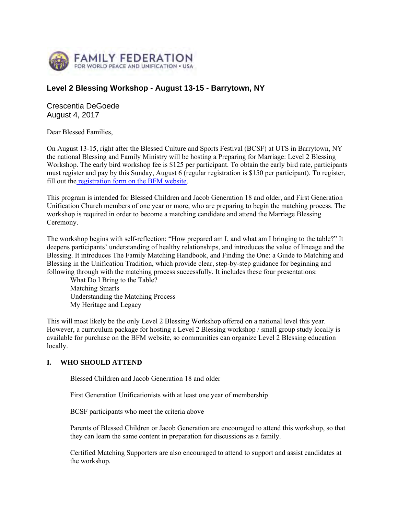

# **Level 2 Blessing Workshop - August 13-15 - Barrytown, NY**

Crescentia DeGoede August 4, 2017

Dear Blessed Families,

On August 13-15, right after the Blessed Culture and Sports Festival (BCSF) at UTS in Barrytown, NY the national Blessing and Family Ministry will be hosting a Preparing for Marriage: Level 2 Blessing Workshop. The early bird workshop fee is \$125 per participant. To obtain the early bird rate, participants must register and pay by this Sunday, August 6 (regular registration is \$150 per participant). To register, fill out the registration form on the BFM website.

This program is intended for Blessed Children and Jacob Generation 18 and older, and First Generation Unification Church members of one year or more, who are preparing to begin the matching process. The workshop is required in order to become a matching candidate and attend the Marriage Blessing Ceremony.

The workshop begins with self-reflection: "How prepared am I, and what am I bringing to the table?" It deepens participants' understanding of healthy relationships, and introduces the value of lineage and the Blessing. It introduces The Family Matching Handbook, and Finding the One: a Guide to Matching and Blessing in the Unification Tradition, which provide clear, step-by-step guidance for beginning and following through with the matching process successfully. It includes these four presentations:

What Do I Bring to the Table? Matching Smarts Understanding the Matching Process My Heritage and Legacy

This will most likely be the only Level 2 Blessing Workshop offered on a national level this year. However, a curriculum package for hosting a Level 2 Blessing workshop / small group study locally is available for purchase on the BFM website, so communities can organize Level 2 Blessing education locally.

#### **I. WHO SHOULD ATTEND**

Blessed Children and Jacob Generation 18 and older

First Generation Unificationists with at least one year of membership

BCSF participants who meet the criteria above

Parents of Blessed Children or Jacob Generation are encouraged to attend this workshop, so that they can learn the same content in preparation for discussions as a family.

Certified Matching Supporters are also encouraged to attend to support and assist candidates at the workshop.